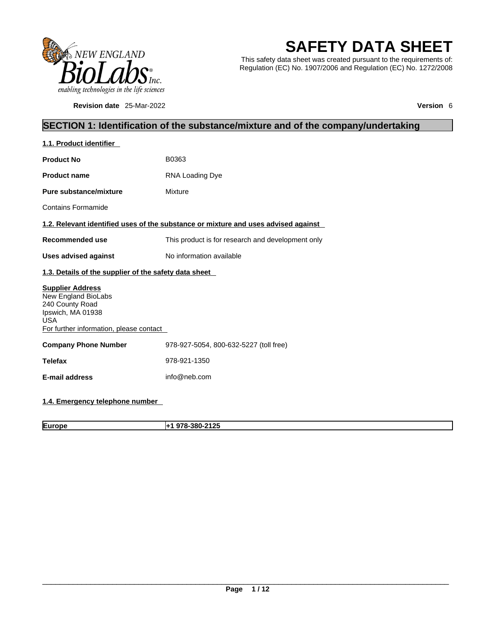

**Revision date** 25-Mar-2022 **Version** 6

# **SAFETY DATA SHEET**

This safety data sheet was created pursuant to the requirements of: Regulation (EC) No. 1907/2006 and Regulation (EC) No. 1272/2008

# **SECTION 1: Identification of the substance/mixture and of the company/undertaking**

| 1.1. Product identifier                                                                                                                         |                                                                                    |  |  |  |
|-------------------------------------------------------------------------------------------------------------------------------------------------|------------------------------------------------------------------------------------|--|--|--|
| <b>Product No</b>                                                                                                                               | B0363                                                                              |  |  |  |
| <b>Product name</b>                                                                                                                             | <b>RNA Loading Dye</b>                                                             |  |  |  |
| <b>Pure substance/mixture</b>                                                                                                                   | <b>Mixture</b>                                                                     |  |  |  |
| <b>Contains Formamide</b>                                                                                                                       |                                                                                    |  |  |  |
|                                                                                                                                                 | 1.2. Relevant identified uses of the substance or mixture and uses advised against |  |  |  |
| <b>Recommended use</b>                                                                                                                          | This product is for research and development only                                  |  |  |  |
| No information available<br><b>Uses advised against</b>                                                                                         |                                                                                    |  |  |  |
| 1.3. Details of the supplier of the safety data sheet                                                                                           |                                                                                    |  |  |  |
| <b>Supplier Address</b><br>New England BioLabs<br>240 County Road<br>Ipswich, MA 01938<br><b>USA</b><br>For further information, please contact |                                                                                    |  |  |  |
| <b>Company Phone Number</b>                                                                                                                     | 978-927-5054, 800-632-5227 (toll free)                                             |  |  |  |
| <b>Telefax</b>                                                                                                                                  | 978-921-1350                                                                       |  |  |  |
| <b>E-mail address</b>                                                                                                                           | info@neb.com                                                                       |  |  |  |
| 1.4. Emergency telephone number                                                                                                                 |                                                                                    |  |  |  |

| <b>2425</b><br>Europe<br>המכ<br>$-120$<br>. |  |
|---------------------------------------------|--|
|---------------------------------------------|--|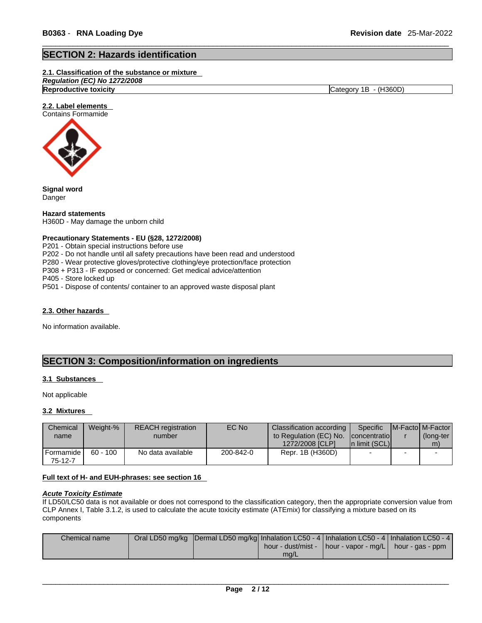# **SECTION 2: Hazards identification**

# **2.1. Classification of the substance or mixture**

*Regulation (EC) No 1272/2008* 

**Reproductive toxicity** Category 1B - (H360D)

# **2.2. Label elements**



**Signal word** Danger

**Hazard statements** H360D - May damage the unborn child

# **Precautionary Statements - EU (§28, 1272/2008)**

P201 - Obtain special instructions before use

P202 - Do not handle until all safety precautions have been read and understood

P280 - Wear protective gloves/protective clothing/eye protection/face protection

P308 + P313 - IF exposed or concerned: Get medical advice/attention

P405 - Store locked up

P501 - Dispose of contents/ container to an approved waste disposal plant

#### **2.3. Other hazards**

No information available.

# **SECTION 3: Composition/information on ingredients**

# **3.1 Substances**

Not applicable

# **3.2 Mixtures**

| Chemical<br>name         | Weight-%   | <b>REACH</b> registration<br>number | EC No     | Classification according<br>to Regulation (EC) No. | Specific<br><b>Concentratiol</b> | <b>IM-Factol M-Factor</b><br>(long-ter |
|--------------------------|------------|-------------------------------------|-----------|----------------------------------------------------|----------------------------------|----------------------------------------|
| I Formamide I<br>75-12-7 | $60 - 100$ | No data available                   | 200-842-0 | 1272/2008 [CLP]<br>Repr. 1B (H360D)                | In limit (SCL)<br>$\sim$         | m)                                     |

# **Full text of H- and EUH-phrases: see section 16**

# *Acute Toxicity Estimate*

If LD50/LC50 data is not available or does not correspond to the classification category, then the appropriate conversion value from CLP Annex I, Table 3.1.2, is used to calculate the acute toxicity estimate (ATEmix) for classifying a mixture based on its components

| Chemical name | Oral LD50 mg/kg  Dermal LD50 mg/kg  Inhalation LC50 - 4   Inhalation LC50 - 4   Inhalation LC50 - 4 | hour - dust/mist - | /-   hour - vapor - mg/L   hour - gas - ppm |  |
|---------------|-----------------------------------------------------------------------------------------------------|--------------------|---------------------------------------------|--|
|               |                                                                                                     | mg/L               |                                             |  |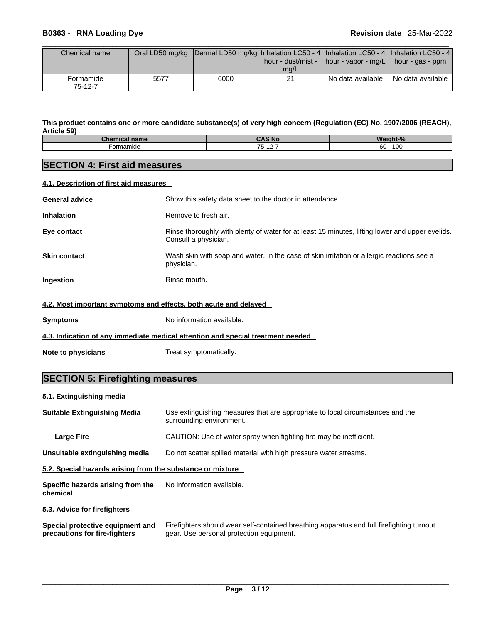| Chemical name        |      | Oral LD50 mg/kg  Dermal LD50 mg/kg  Inhalation LC50 - 4   Inhalation LC50 - 4   Inhalation LC50 - 4 | mq/L | hour - dust/mist - $\vert$ hour - vapor - mg/L $\vert$ hour - gas - ppm |                   |
|----------------------|------|-----------------------------------------------------------------------------------------------------|------|-------------------------------------------------------------------------|-------------------|
| Formamide<br>75-12-7 | 5577 | 6000                                                                                                | 21   | No data available                                                       | No data available |

# This product contains one or more candidate substance(s) of very high concern (Regulation (EC) No. 1907/2006 (REACH), **Article 59)**

| <b>SALE</b><br>name<br>nor<br>анкел | <b>CAS No.</b>                       | $- - -$<br>$\pm 0$<br>៱៲៱<br>≀iαht-<br>$\gamma$ o |
|-------------------------------------|--------------------------------------|---------------------------------------------------|
| -ormamide                           | $- -$<br>$\sqrt{2}$<br>∴ລ∹<br>$\sim$ | $\overline{100}$<br>$60-$<br>1 U U                |
|                                     |                                      |                                                   |

# **SECTION 4: First aid measures**

# **4.1. Description of first aid measures**

| <b>General advice</b>                                            | Show this safety data sheet to the doctor in attendance.                                                                |
|------------------------------------------------------------------|-------------------------------------------------------------------------------------------------------------------------|
| <b>Inhalation</b>                                                | Remove to fresh air.                                                                                                    |
| Eye contact                                                      | Rinse thoroughly with plenty of water for at least 15 minutes, lifting lower and upper eyelids.<br>Consult a physician. |
| <b>Skin contact</b>                                              | Wash skin with soap and water. In the case of skin irritation or allergic reactions see a<br>physician.                 |
| Ingestion                                                        | Rinse mouth.                                                                                                            |
| 4.2. Most important symptoms and effects, both acute and delayed |                                                                                                                         |
| <b>Symptoms</b>                                                  | No information available.                                                                                               |
|                                                                  | 4.3. Indication of any immediate medical attention and special treatment needed                                         |
| Note to physicians                                               | Treat symptomatically.                                                                                                  |

# **SECTION 5: Firefighting measures**

# **5.1. Extinguishing media**

| <b>Suitable Extinguishing Media</b>                               | Use extinguishing measures that are appropriate to local circumstances and the<br>surrounding environment.                            |
|-------------------------------------------------------------------|---------------------------------------------------------------------------------------------------------------------------------------|
| <b>Large Fire</b>                                                 | CAUTION: Use of water spray when fighting fire may be inefficient.                                                                    |
| Unsuitable extinguishing media                                    | Do not scatter spilled material with high pressure water streams.                                                                     |
| 5.2. Special hazards arising from the substance or mixture        |                                                                                                                                       |
| Specific hazards arising from the<br>chemical                     | No information available.                                                                                                             |
| 5.3. Advice for firefighters                                      |                                                                                                                                       |
| Special protective equipment and<br>precautions for fire-fighters | Firefighters should wear self-contained breathing apparatus and full firefighting turnout<br>gear. Use personal protection equipment. |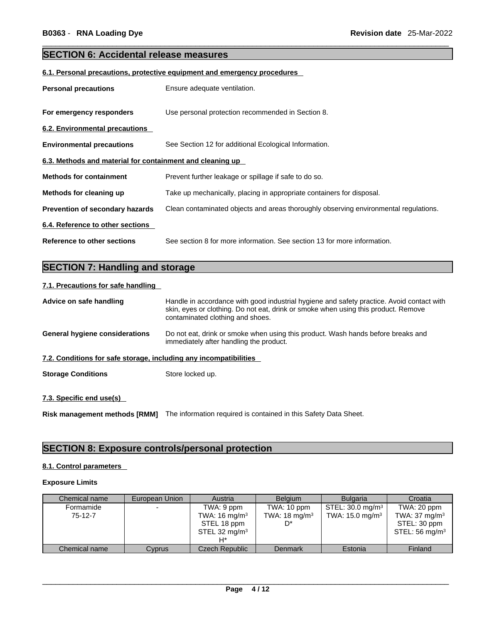# **SECTION 6: Accidental release measures**

# **6.1. Personal precautions, protective equipment and emergency procedures**

| <b>Personal precautions</b>                               | Ensure adequate ventilation.                                                         |
|-----------------------------------------------------------|--------------------------------------------------------------------------------------|
| For emergency responders                                  | Use personal protection recommended in Section 8.                                    |
| 6.2. Environmental precautions                            |                                                                                      |
| <b>Environmental precautions</b>                          | See Section 12 for additional Ecological Information.                                |
| 6.3. Methods and material for containment and cleaning up |                                                                                      |
| <b>Methods for containment</b>                            | Prevent further leakage or spillage if safe to do so.                                |
| Methods for cleaning up                                   | Take up mechanically, placing in appropriate containers for disposal.                |
| <b>Prevention of secondary hazards</b>                    | Clean contaminated objects and areas thoroughly observing environmental regulations. |
| 6.4. Reference to other sections                          |                                                                                      |
| Reference to other sections                               | See section 8 for more information. See section 13 for more information.             |

# **SECTION 7: Handling and storage**

# **7.1. Precautions for safe handling**

| Advice on safe handling                                           | Handle in accordance with good industrial hygiene and safety practice. Avoid contact with<br>skin, eyes or clothing. Do not eat, drink or smoke when using this product. Remove<br>contaminated clothing and shoes. |
|-------------------------------------------------------------------|---------------------------------------------------------------------------------------------------------------------------------------------------------------------------------------------------------------------|
| General hygiene considerations                                    | Do not eat, drink or smoke when using this product. Wash hands before breaks and<br>immediately after handling the product.                                                                                         |
| 7.2. Conditions for safe storage, including any incompatibilities |                                                                                                                                                                                                                     |
| <b>Storage Conditions</b>                                         | Store locked up.                                                                                                                                                                                                    |
|                                                                   |                                                                                                                                                                                                                     |

**7.3. Specific end use(s)** 

**Risk management methods [RMM]** The information required is contained in this Safety Data Sheet.

# **SECTION 8: Exposure controls/personal protection**

# **8.1. Control parameters**

# **Exposure Limits**

| Chemical name        | European Union | Austria                                                                  | <b>Belaium</b>                                | <b>Bulgaria</b>                                      | Croatia                                                                               |
|----------------------|----------------|--------------------------------------------------------------------------|-----------------------------------------------|------------------------------------------------------|---------------------------------------------------------------------------------------|
| Formamide<br>75-12-7 |                | TWA: 9 ppm<br>TWA: $16 \text{ mg/m}^3$<br>STEL 18 ppm<br>STEL 32 $mg/m3$ | TWA: 10 ppm<br>TWA: $18 \text{ mg/m}^3$<br>D* | $STEL: 30.0$ mg/m <sup>3</sup><br>TWA: 15.0 mg/m $3$ | TWA: 20 ppm<br>TWA: $37 \text{ mg/m}^3$<br>STEL: 30 ppm<br>STEL: 56 mg/m <sup>3</sup> |
| Chemical name        | Cyprus         | Czech Republic                                                           | <b>Denmark</b>                                | Estonia                                              | Finland                                                                               |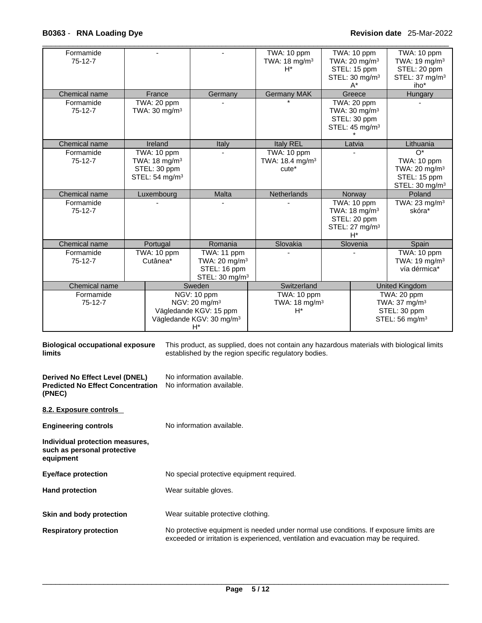| Formamide<br>$75-12-7$ |  |                                                                                       |                                                                                                                     | TWA: 10 ppm<br>TWA: 18 mg/m <sup>3</sup><br>$H^*$    |                                                                                                | TWA: 10 ppm<br>TWA: $20 \text{ mg/m}^3$<br>STEL: 15 ppm | TWA: 10 ppm<br>TWA: 19 mg/m <sup>3</sup><br>STEL: 20 ppm                                       |
|------------------------|--|---------------------------------------------------------------------------------------|---------------------------------------------------------------------------------------------------------------------|------------------------------------------------------|------------------------------------------------------------------------------------------------|---------------------------------------------------------|------------------------------------------------------------------------------------------------|
|                        |  |                                                                                       |                                                                                                                     |                                                      |                                                                                                | STEL: 30 mg/m <sup>3</sup><br>$A^*$                     | STEL: 37 mg/m <sup>3</sup><br>iho*                                                             |
| Chemical name          |  | France                                                                                | Germany                                                                                                             | <b>Germany MAK</b>                                   |                                                                                                | Greece                                                  | Hungary                                                                                        |
| Formamide<br>$75-12-7$ |  | TWA: 20 ppm<br>TWA: 30 mg/m <sup>3</sup>                                              |                                                                                                                     |                                                      | TWA: 20 ppm<br>TWA: $30 \text{ mg/m}^3$<br>STEL: 30 ppm<br>STEL: 45 mg/m <sup>3</sup>          |                                                         |                                                                                                |
| Chemical name          |  | Ireland                                                                               | Italy                                                                                                               | <b>Italy REL</b>                                     |                                                                                                | Latvia                                                  | Lithuania                                                                                      |
| Formamide<br>$75-12-7$ |  | TWA: 10 ppm<br>TWA: $18 \text{ mg/m}^3$<br>STEL: 30 ppm<br>STEL: 54 mg/m <sup>3</sup> |                                                                                                                     | TWA: 10 ppm<br>TWA: $18.4 \text{ mg/m}^3$<br>$cute*$ |                                                                                                |                                                         | $O^*$<br>TWA: 10 ppm<br>TWA: $20 \text{ mg/m}^3$<br>STEL: 15 ppm<br>STEL: 30 mg/m <sup>3</sup> |
| Chemical name          |  | Luxembourg                                                                            | Malta                                                                                                               | Netherlands                                          |                                                                                                | Norway                                                  | Poland                                                                                         |
| Formamide<br>$75-12-7$ |  |                                                                                       |                                                                                                                     |                                                      | TWA: 10 ppm<br>TWA: $18 \text{ mg/m}^3$<br>STEL: 20 ppm<br>STEL: 27 mg/m <sup>3</sup><br>$H^*$ |                                                         | TWA: 23 mg/m <sup>3</sup><br>skóra*                                                            |
| Chemical name          |  | Portugal                                                                              | Romania                                                                                                             | Slovakia                                             |                                                                                                | Slovenia                                                | Spain                                                                                          |
| Formamide<br>$75-12-7$ |  | TWA: 10 ppm<br>Cutânea*                                                               | TWA: 11 ppm<br>TWA: $20 \text{ mg/m}^3$<br>STEL: 16 ppm<br>STEL: 30 mg/m <sup>3</sup>                               |                                                      |                                                                                                |                                                         | TWA: 10 ppm<br>TWA: $19 \text{ mg/m}^3$<br>vía dérmica*                                        |
| Chemical name          |  |                                                                                       | Sweden                                                                                                              | Switzerland                                          |                                                                                                |                                                         | <b>United Kingdom</b>                                                                          |
| Formamide<br>$75-12-7$ |  |                                                                                       | NGV: 10 ppm<br>NGV: 20 mg/m <sup>3</sup><br>Vägledande KGV: 15 ppm<br>Vägledande KGV: 30 mg/m <sup>3</sup><br>$H^*$ | TWA: 10 ppm<br>TWA: 18 mg/m <sup>3</sup><br>$H^*$    |                                                                                                |                                                         | TWA: 20 ppm<br>TWA: $37 \text{ mg/m}^3$<br>STEL: 30 ppm<br>STEL: 56 mg/m <sup>3</sup>          |

| <b>Biological occupational exposure</b><br>limits                                    | This product, as supplied, does not contain any hazardous materials with biological limits<br>established by the region specific regulatory bodies.                         |
|--------------------------------------------------------------------------------------|-----------------------------------------------------------------------------------------------------------------------------------------------------------------------------|
| Derived No Effect Level (DNEL)<br><b>Predicted No Effect Concentration</b><br>(PNEC) | No information available.<br>No information available.                                                                                                                      |
| 8.2. Exposure controls                                                               |                                                                                                                                                                             |
| <b>Engineering controls</b>                                                          | No information available.                                                                                                                                                   |
| Individual protection measures,<br>such as personal protective<br>equipment          |                                                                                                                                                                             |
| Eye/face protection                                                                  | No special protective equipment required.                                                                                                                                   |
| <b>Hand protection</b>                                                               | Wear suitable gloves.                                                                                                                                                       |
| Skin and body protection                                                             | Wear suitable protective clothing.                                                                                                                                          |
| <b>Respiratory protection</b>                                                        | No protective equipment is needed under normal use conditions. If exposure limits are<br>exceeded or irritation is experienced, ventilation and evacuation may be required. |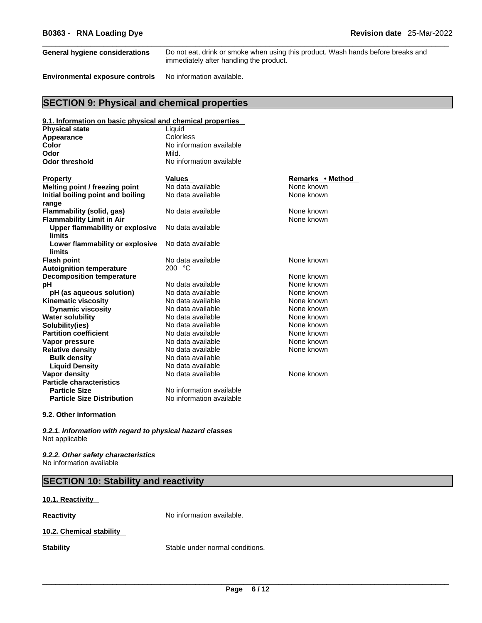| General hygiene considerations         | Do not eat, drink or smoke when using this product. Wash hands before breaks and<br>immediately after handling the product. |
|----------------------------------------|-----------------------------------------------------------------------------------------------------------------------------|
| <b>Environmental exposure controls</b> | No information available.                                                                                                   |

# **SECTION 9: Physical and chemical properties**

# **9.1. Information on basic physical and chemical properties**

| <b>Physical state</b>             | Liquid                   |                  |
|-----------------------------------|--------------------------|------------------|
| Appearance                        | Colorless                |                  |
| Color                             | No information available |                  |
| Odor                              | Mild.                    |                  |
| <b>Odor threshold</b>             | No information available |                  |
|                                   |                          |                  |
| <b>Property</b>                   | <b>Values</b>            | Remarks • Method |
| Melting point / freezing point    | No data available        | None known       |
| Initial boiling point and boiling | No data available        | None known       |
| range                             |                          |                  |
| Flammability (solid, gas)         | No data available        | None known       |
| <b>Flammability Limit in Air</b>  |                          | None known       |
| Upper flammability or explosive   | No data available        |                  |
| <b>limits</b>                     |                          |                  |
| Lower flammability or explosive   | No data available        |                  |
| limits                            |                          |                  |
| <b>Flash point</b>                | No data available        | None known       |
| <b>Autoignition temperature</b>   | 200 °C                   |                  |
| <b>Decomposition temperature</b>  |                          | None known       |
| рH                                | No data available        | None known       |
| pH (as aqueous solution)          | No data available        | None known       |
| <b>Kinematic viscosity</b>        | No data available        | None known       |
| <b>Dynamic viscosity</b>          | No data available        | None known       |
| <b>Water solubility</b>           | No data available        | None known       |
| Solubility(ies)                   | No data available        | None known       |
| <b>Partition coefficient</b>      | No data available        | None known       |
| Vapor pressure                    | No data available        | None known       |
| <b>Relative density</b>           | No data available        | None known       |
| <b>Bulk density</b>               | No data available        |                  |
| <b>Liquid Density</b>             | No data available        |                  |
| Vapor density                     | No data available        | None known       |
| <b>Particle characteristics</b>   |                          |                  |
| <b>Particle Size</b>              | No information available |                  |
| <b>Particle Size Distribution</b> | No information available |                  |
|                                   |                          |                  |

# **9.2. Other information**

*9.2.1. Information with regard to physical hazard classes* Not applicable

*9.2.2. Other safety characteristics* No information available

| <b>SECTION 10: Stability and reactivity</b> |                           |
|---------------------------------------------|---------------------------|
| 10.1. Reactivity                            |                           |
| <b>Reactivity</b>                           | No information available. |

**10.2. Chemical stability** 

**Stability** Stable under normal conditions.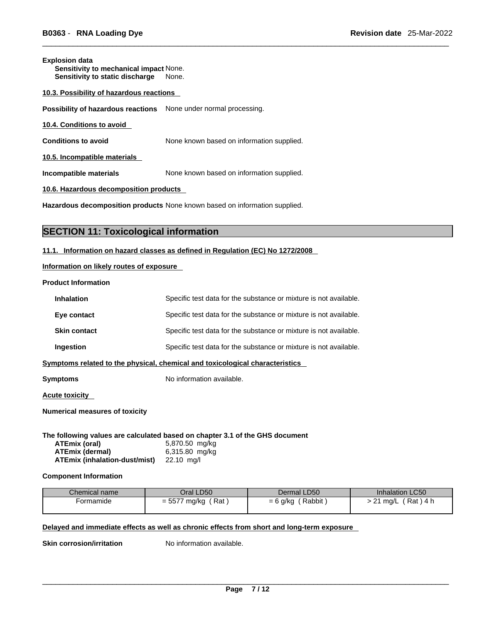# **Explosion data**

**Sensitivity to mechanical impact** None. **Sensitivity to static discharge** None.

**10.3. Possibility of hazardous reactions**

**Possibility of hazardous reactions** None under normal processing.

**10.4. Conditions to avoid** 

**Conditions to avoid** None known based on information supplied.

**10.5. Incompatible materials**

**Incompatible materials** None known based on information supplied.

**10.6. Hazardous decomposition products** 

**Hazardous decomposition products** None known based on information supplied.

# **SECTION 11: Toxicological information**

# **11.1. Information on hazard classes as defined in Regulation (EC) No 1272/2008**

#### **Information on likely routes of exposure**

**Product Information**

| Symptoms            | No information available.                                                    |
|---------------------|------------------------------------------------------------------------------|
|                     | Symptoms related to the physical, chemical and toxicological characteristics |
| Ingestion           | Specific test data for the substance or mixture is not available.            |
| <b>Skin contact</b> | Specific test data for the substance or mixture is not available.            |
| Eye contact         | Specific test data for the substance or mixture is not available.            |
| <b>Inhalation</b>   | Specific test data for the substance or mixture is not available.            |

**Acute toxicity** 

**Numerical measures of toxicity**

**The following values are calculated based on chapter 3.1 of the GHS document**

| ATEmix (oral)                        | 5,870.50 mg/kg |
|--------------------------------------|----------------|
| ATEmix (dermal)                      | 6,315.80 mg/kg |
| <b>ATEmix (inhalation-dust/mist)</b> | 22.10 ma/l     |

#### **Component Information**

| Chemical name | Oral LD50                  | Dermal LD50          | Inhalation LC50                 |
|---------------|----------------------------|----------------------|---------------------------------|
| Formamide     | $= 5577$<br>Rat<br>' mg/kg | Rabbit<br>$= 6$ g/kg | Rat ) 4 h<br>$\Omega$<br>' ma/L |

# **Delayed and immediate effects as well as chronic effects from short and long-term exposure**

**Skin corrosion/irritation** No information available.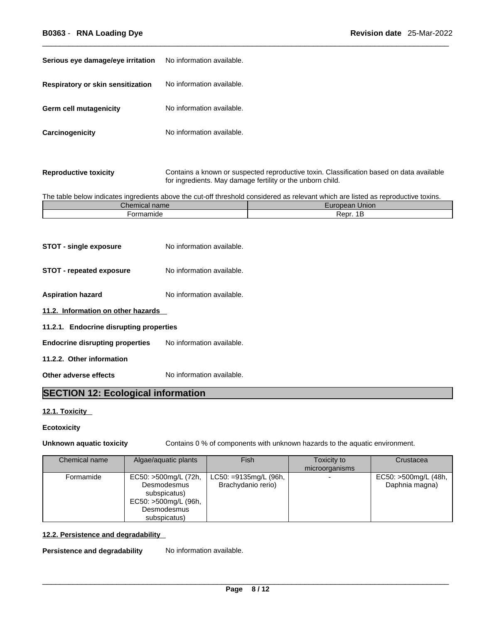| Serious eye damage/eye irritation | No information available. |
|-----------------------------------|---------------------------|
| Respiratory or skin sensitization | No information available. |
| Germ cell mutagenicity            | No information available. |
| Carcinogenicity                   | No information available. |

**Reproductive toxicity** Contains a known or suspected reproductive toxin. Classification based on data available for ingredients. May damage fertility or the unborn child.

The table below indicates ingredients above the cut-off threshold considered as relevant which are listed as reproductive toxins.

| $\sim$<br>गашь<br>шж | Union<br>ean |
|----------------------|--------------|
| -ormamide            | Repr         |

- **STOT single exposure** No information available.
- **STOT repeated exposure** No information available.
- **Aspiration hazard** No information available.
- **11.2. Information on other hazards**
- **11.2.1. Endocrine disrupting properties**
- **Endocrine disrupting properties** No information available.
- **11.2.2. Other information**
- **Other adverse effects** No information available.

# **SECTION 12: Ecological information**

# **12.1. Toxicity**

# **Ecotoxicity**

**Unknown aquatic toxicity** Contains 0 % of components with unknown hazards to the aquatic environment.

| Chemical name | Algae/aquatic plants                | <b>Fish</b>                | Toxicity to    | Crustacea            |
|---------------|-------------------------------------|----------------------------|----------------|----------------------|
|               |                                     |                            | microorganisms |                      |
| Formamide     | EC50: >500mg/L (72h,                | $LC50: = 9135mg/L (96h, )$ |                | EC50: >500mg/L (48h, |
|               | Desmodesmus<br>subspicatus)         | Brachydanio rerio)         |                | Daphnia magna)       |
|               | EC50: >500mg/L (96h,<br>Desmodesmus |                            |                |                      |
|               | subspicatus)                        |                            |                |                      |

# **12.2. Persistence and degradability**

**Persistence and degradability** No information available.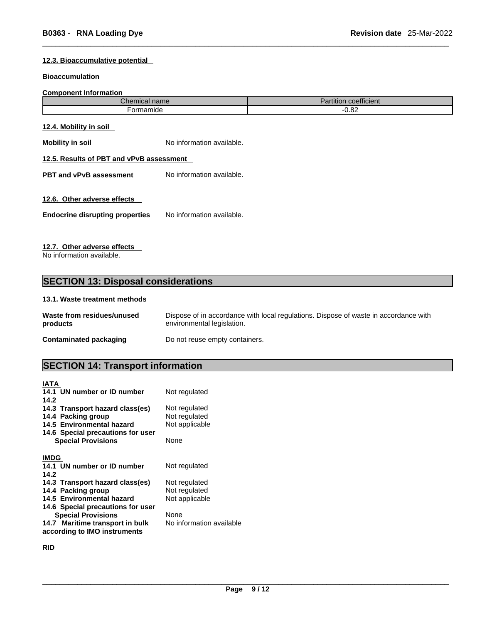# **12.3. Bioaccumulative potential**

#### **Bioaccumulation**

#### **Component Information**

| ∶hemical name | $-0.01$<br>coefficient<br>artition |
|---------------|------------------------------------|
| -ormamide     | $\sim$                             |
|               | O.OZ                               |

# **12.4. Mobility in soil**

**Mobility in soil** No information available.

# **12.5. Results of PBT and vPvB assessment**

**PBT** and **vPvB** assessment No information available.

# **12.6. Other adverse effects**

**Endocrine disrupting properties** No information available.

# **12.7. Other adverse effects**

No information available.

# **SECTION 13: Disposal considerations**

# **13.1. Waste treatment methods**

| Waste from residues/unused    | Dispose of in accordance with local regulations. Dispose of waste in accordance with |
|-------------------------------|--------------------------------------------------------------------------------------|
| products                      | environmental legislation.                                                           |
| <b>Contaminated packaging</b> | Do not reuse empty containers.                                                       |

# **SECTION 14: Transport information**

| <b>IATA</b>                       |                          |  |
|-----------------------------------|--------------------------|--|
| 14.1 UN number or ID number       | Not regulated            |  |
| 14.2                              |                          |  |
| 14.3 Transport hazard class(es)   | Not regulated            |  |
| 14.4 Packing group                | Not regulated            |  |
| 14.5 Environmental hazard         | Not applicable           |  |
| 14.6 Special precautions for user |                          |  |
| <b>Special Provisions</b>         | None                     |  |
|                                   |                          |  |
| <b>IMDG</b>                       |                          |  |
| 14.1 UN number or ID number       | Not regulated            |  |
| 14.2                              |                          |  |
| 14.3 Transport hazard class(es)   | Not regulated            |  |
| 14.4 Packing group                | Not regulated            |  |
| 14.5 Environmental hazard         | Not applicable           |  |
| 14.6 Special precautions for user |                          |  |
| <b>Special Provisions</b>         | None                     |  |
| 14.7 Maritime transport in bulk   | No information available |  |
| according to IMO instruments      |                          |  |
|                                   |                          |  |

**RID**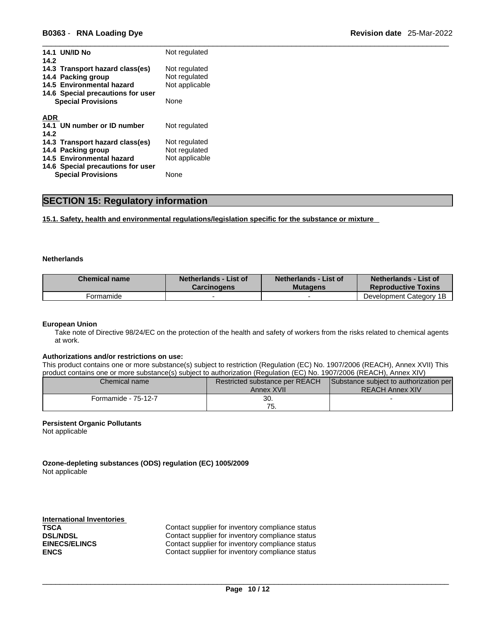| Not regulated                                    |
|--------------------------------------------------|
| Not regulated<br>Not regulated<br>Not applicable |
| None                                             |
|                                                  |
| Not regulated                                    |
|                                                  |
| Not regulated                                    |
| Not regulated                                    |
| Not applicable                                   |
|                                                  |
|                                                  |

# **SECTION 15: Regulatory information**

**15.1. Safety, health and environmental regulations/legislation specific for the substance or mixture**

# **Netherlands**

| <b>Chemical name</b> | Netherlands - List of | Netherlands - List of | Netherlands - List of      |
|----------------------|-----------------------|-----------------------|----------------------------|
|                      | Carcinoɑens           | <b>Mutagens</b>       | <b>Reproductive Toxins</b> |
| ∙ormamide            |                       |                       | Development Category 1B    |

#### **European Union**

Take note of Directive 98/24/EC on the protection of the health and safety of workers from the risks related to chemical agents at work.

# **Authorizations and/or restrictions on use:**

This product contains one or more substance(s) subject to restriction (Regulation (EC) No. 1907/2006 (REACH), Annex XVII) This product contains one ormore substance(s) subject to authorization (Regulation (EC) No. 1907/2006 (REACH), Annex XIV)

| Chemical name       | <b>Restricted substance per REACH</b> | Substance subject to authorization per |
|---------------------|---------------------------------------|----------------------------------------|
|                     | Annex XVII                            | <b>REACH Annex XIV</b>                 |
| Formamide - 75-12-7 | 30.                                   |                                        |
|                     | 75.                                   |                                        |

# **Persistent Organic Pollutants**

Not applicable

**Ozone-depleting substances (ODS) regulation (EC) 1005/2009** Not applicable

**International Inventories**

Contact supplier for inventory compliance status **DSL/NDSL Contact supplier for inventory compliance status EINECS/ELINCS** Contact supplier for inventory compliance status **ENCS ENCS Contact supplier for inventory compliance status**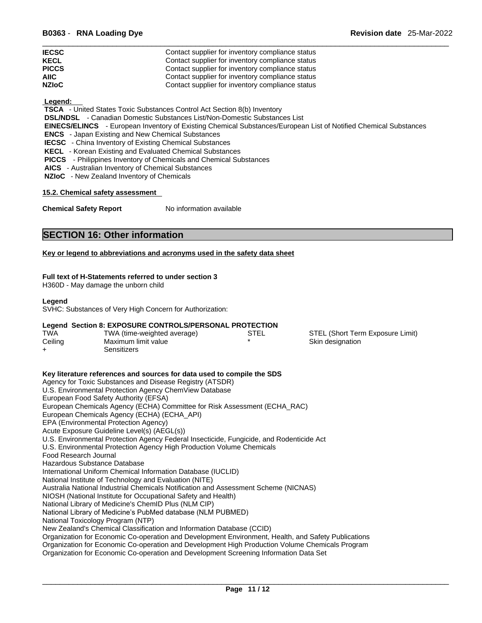| <b>IECSC</b> | Contact supplier for inventory compliance status |
|--------------|--------------------------------------------------|
| <b>KECL</b>  | Contact supplier for inventory compliance status |
| <b>PICCS</b> | Contact supplier for inventory compliance status |
| <b>AIIC</b>  | Contact supplier for inventory compliance status |
| <b>NZIoC</b> | Contact supplier for inventory compliance status |

#### **Legend:**

 **TSCA** - United States Toxic Substances Control Act Section 8(b) Inventory

 **DSL/NDSL** - Canadian Domestic Substances List/Non-Domestic Substances List

 **EINECS/ELINCS** - European Inventory of Existing Chemical Substances/European List of Notified Chemical Substances

 **ENCS** - Japan Existing and New Chemical Substances

 **IECSC** - China Inventory of Existing Chemical Substances

 **KECL** - Korean Existing and Evaluated Chemical Substances

 **PICCS** - Philippines Inventory of Chemicals and Chemical Substances

 **AICS** - Australian Inventory of Chemical Substances

 **NZIoC** - New Zealand Inventory of Chemicals

# **15.2. Chemical safety assessment**

**Chemical Safety Report** No information available

# **SECTION 16: Other information**

#### **Key or legend to abbreviations and acronyms used in the safety data sheet**

# **Full text of H-Statements referred to undersection 3**

H360D - May damage the unborn child

# **Legend**

SVHC: Substances of Very High Concern for Authorization:

# **Legend Section 8: EXPOSURE CONTROLS/PERSONAL PROTECTION**

| <b>TWA</b> | TWA (time-weighted average) | STEL | STEL (Short Term Exposure Limit) |
|------------|-----------------------------|------|----------------------------------|
| Ceiling    | Maximum limit value         |      | Skin designation                 |
|            | Sensitizers                 |      |                                  |

#### **Key literature references and sources for data used to compile the SDS**

Agency for Toxic Substances and Disease Registry (ATSDR) U.S. Environmental Protection Agency ChemView Database European Food Safety Authority (EFSA) European Chemicals Agency (ECHA) Committee for Risk Assessment (ECHA\_RAC) European Chemicals Agency (ECHA) (ECHA\_API) EPA (Environmental Protection Agency) Acute Exposure Guideline Level(s) (AEGL(s)) U.S. Environmental Protection Agency Federal Insecticide, Fungicide, and Rodenticide Act U.S. Environmental Protection Agency High Production Volume Chemicals Food Research Journal Hazardous Substance Database International Uniform Chemical Information Database (IUCLID) National Institute of Technology and Evaluation (NITE) Australia National Industrial Chemicals Notification and Assessment Scheme (NICNAS) NIOSH (National Institute for Occupational Safety and Health) National Library of Medicine's ChemID Plus (NLM CIP) National Library of Medicine's PubMed database (NLM PUBMED) National Toxicology Program (NTP) New Zealand's Chemical Classification and Information Database (CCID) Organization for Economic Co-operation and Development Environment, Health, and Safety Publications Organization for Economic Co-operation and Development High Production Volume Chemicals Program Organization for Economic Co-operation and Development Screening Information Data Set